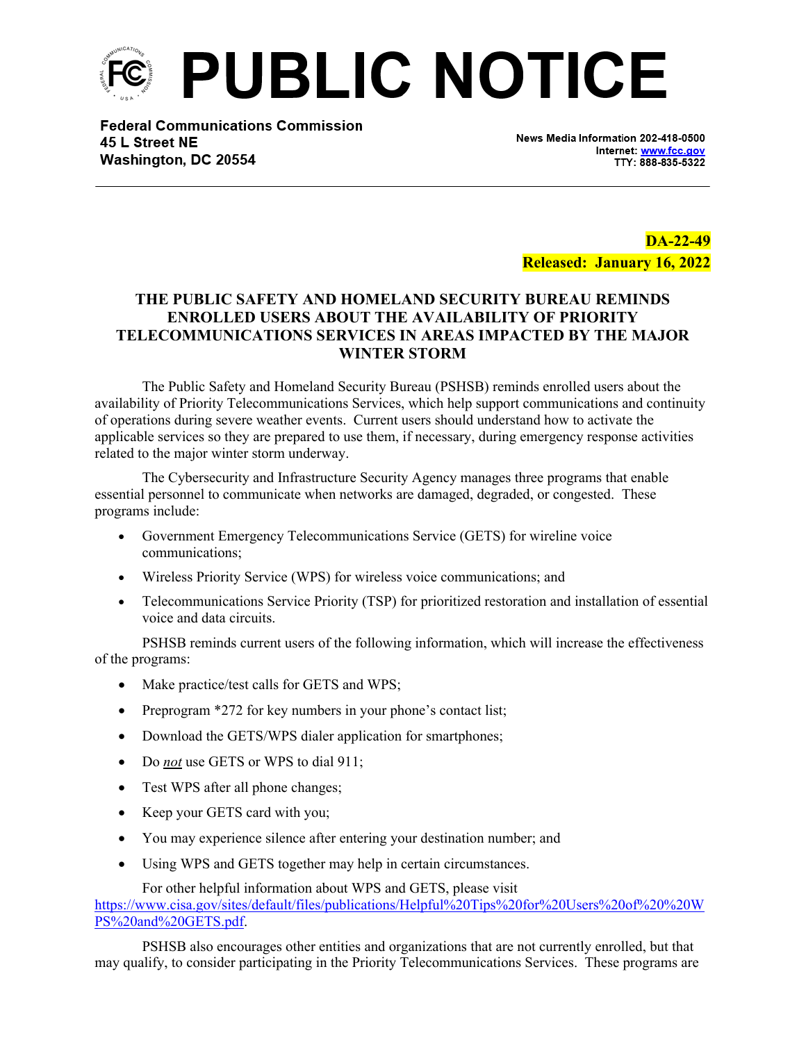

**Federal Communications Commission** 45 L Street NE Washington, DC 20554

News Media Information 202-418-0500 Internet: www.fcc.gov TTY: 888-835-5322

**DA-22-49 Released: January 16, 2022**

## **THE PUBLIC SAFETY AND HOMELAND SECURITY BUREAU REMINDS ENROLLED USERS ABOUT THE AVAILABILITY OF PRIORITY TELECOMMUNICATIONS SERVICES IN AREAS IMPACTED BY THE MAJOR WINTER STORM**

The Public Safety and Homeland Security Bureau (PSHSB) reminds enrolled users about the availability of Priority Telecommunications Services, which help support communications and continuity of operations during severe weather events. Current users should understand how to activate the applicable services so they are prepared to use them, if necessary, during emergency response activities related to the major winter storm underway.

The Cybersecurity and Infrastructure Security Agency manages three programs that enable essential personnel to communicate when networks are damaged, degraded, or congested. These programs include:

- Government Emergency Telecommunications Service (GETS) for wireline voice communications;
- Wireless Priority Service (WPS) for wireless voice communications; and
- Telecommunications Service Priority (TSP) for prioritized restoration and installation of essential voice and data circuits.

PSHSB reminds current users of the following information, which will increase the effectiveness of the programs:

- Make practice/test calls for GETS and WPS;
- Preprogram \*272 for key numbers in your phone's contact list;
- Download the GETS/WPS dialer application for smartphones;
- Do *not* use GETS or WPS to dial 911;
- Test WPS after all phone changes;
- Keep your GETS card with you;
- You may experience silence after entering your destination number; and
- Using WPS and GETS together may help in certain circumstances.

For other helpful information about WPS and GETS, please visit [https://www.cisa.gov/sites/default/files/publications/Helpful%20Tips%20for%20Users%20of%20%20W](https://www.cisa.gov/sites/default/files/publications/Helpful%20Tips%20for%20Users%20of%20%20WPS%20and%20GETS.pdf) [PS%20and%20GETS.pdf](https://www.cisa.gov/sites/default/files/publications/Helpful%20Tips%20for%20Users%20of%20%20WPS%20and%20GETS.pdf).

PSHSB also encourages other entities and organizations that are not currently enrolled, but that may qualify, to consider participating in the Priority Telecommunications Services. These programs are